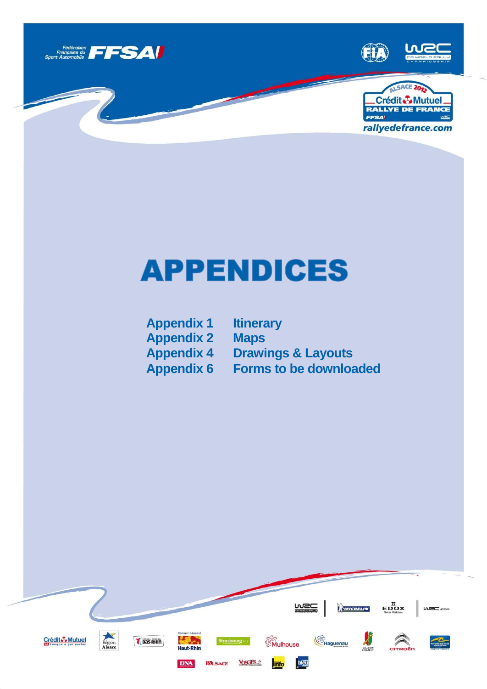

## **APPENDICES**

**Appendix 1 Itinerary Appendix 2** 

**Appendix 4 Drawings & Layouts Appendix 6 Forms to be downloaded**

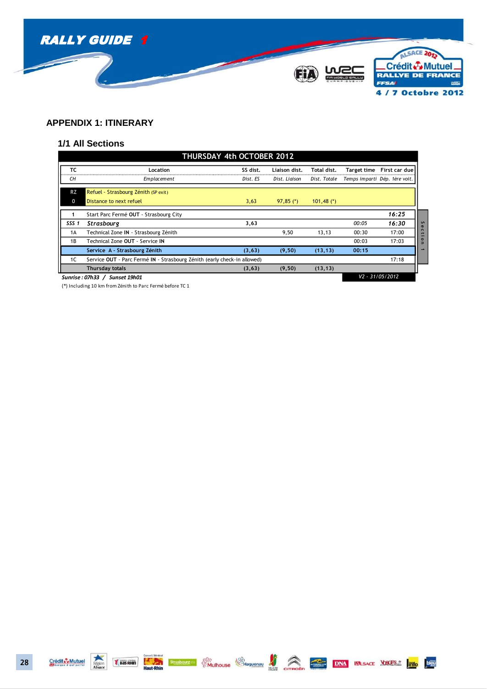

## **APPENDIX 1: ITINERARY**

## **1/1 All Sections**

|                  |                                                                          | THURSDAY 4th OCTOBER 2012 |               |              |             |                               |
|------------------|--------------------------------------------------------------------------|---------------------------|---------------|--------------|-------------|-------------------------------|
| ТC               | Location                                                                 | SS dist.                  | Liaison dist. | Total dist.  | Target time | First car due                 |
| CН               | Emplacement                                                              | Dist. ES                  | Dist. Liaison | Dist. Totale |             | Temps imparti Dép. 1ère voit. |
| <b>RZ</b>        | Refuel - Strasbourg Zénith (SP exit)                                     |                           |               |              |             |                               |
| 0                | Distance to next refuel                                                  | 3,63                      | $97,85$ (*)   | $101,48$ (*) |             |                               |
|                  | Start Parc Fermé OUT - Strasbourg City                                   |                           |               |              |             | 16:25                         |
| SSS <sub>1</sub> | Strasbourg                                                               | 3,63                      |               |              | 00:05       | 16:30                         |
| 1A               | Technical Zone IN - Strasbourg Zénith                                    |                           | 9,50          | 13,13        | 00:30       | 17:00                         |
| 1B               | Technical Zone OUT - Service IN                                          |                           |               |              | 00:03       | 17:03                         |
|                  | Service A - Strasbourg Zénith                                            | (3, 63)                   | (9, 50)       | (13, 13)     | 00:15       |                               |
| 1C               | Service OUT - Parc Fermé IN - Strasbourg Zénith (early check-in allowed) |                           |               |              |             | 17:18                         |
|                  | Thursday totals                                                          | (3, 63)                   | (9, 50)       | (13, 13)     |             |                               |
|                  | Sunrise: 07h33 / Sunset 19h01                                            |                           |               |              |             | V2 - 31/05/2012               |

(\*) Including 10 km from Zénith to Parc Fermé before TC 1







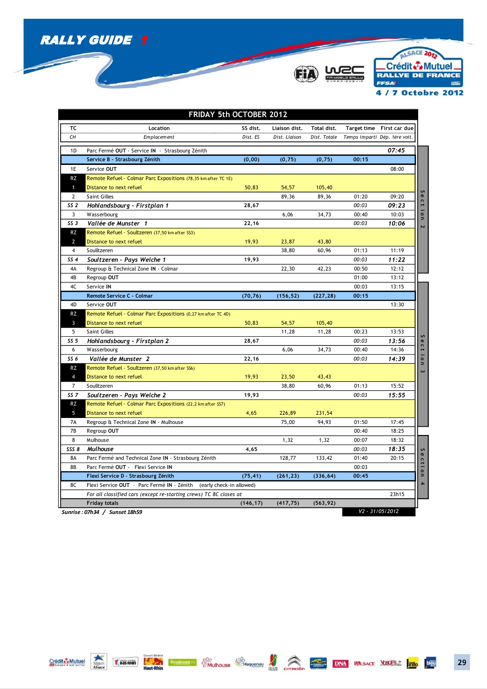





|                 | FRIDAY 5th OCTOBER 2012                                                |           |               |              |       |                               |          |
|-----------------|------------------------------------------------------------------------|-----------|---------------|--------------|-------|-------------------------------|----------|
| ТC              | Location                                                               | SS dist.  | Liaison dist. | Total dist.  |       | Target time First car due     |          |
| CH              | Emplacement                                                            | Dist. ES  | Dist. Liaison | Dist. Totale |       | Temps imparti Dép. 1ère voit. |          |
| 1D              | Parc Fermé OUT - Service IN - Strasbourg Zénith                        |           |               |              |       | 07:45                         |          |
|                 | Service B - Strasbourg Zénith                                          | (0,00)    | (0, 75)       | (0, 75)      | 00:15 |                               |          |
| 1E              | Service OUT                                                            |           |               |              |       | 08:00                         |          |
| <b>RZ</b>       | Remote Refuel - Colmar Parc Expositions (78,35 km after TC 1E)         |           |               |              |       |                               |          |
| $\mathbf{1}$    | Distance to next refuel                                                | 50,83     | 54,57         | 105,40       |       |                               |          |
| 2               | <b>Saint Gilles</b>                                                    |           | 89,36         | 89,36        | 01:20 | 09:20                         |          |
| SS <sub>2</sub> | Hohlandsbourg - Firstplan 1                                            | 28,67     |               |              | 00:03 | 09:23                         | Section  |
| 3               | Wasserbourg                                                            |           | 6,06          | 34,73        | 00:40 | 10:03                         |          |
| SS <sub>3</sub> | Vallée de Munster 1                                                    | 22,16     |               |              | 00:03 | 10:06                         |          |
| <b>RZ</b>       | Remote Refuel - Soultzeren (37,50 km after SS3)                        |           |               |              |       |                               |          |
| $\overline{2}$  | Distance to next refuel                                                | 19,93     | 23,87         | 43,80        |       |                               |          |
| $\overline{4}$  | Soulltzeren                                                            |           | 38,80         | 60,96        | 01:13 | 11:19                         |          |
| SS <sub>4</sub> | Soultzeren - Pays Welche 1                                             | 19,93     |               |              | 00:03 | 11:22                         |          |
| 4A              | Regroup & Technical Zone IN - Colmar                                   |           | 22,30         | 42,23        | 00:50 | 12:12                         |          |
| 4B              | Regroup OUT                                                            |           |               |              | 01:00 | 13:12                         |          |
| 4C              | Service IN                                                             |           |               |              | 00:03 | 13:15                         |          |
|                 | Remote Service C - Colmar                                              | (70, 76)  | (156, 52)     | (227, 28)    | 00:15 |                               |          |
| 4D              | Service OUT                                                            |           |               |              |       | 13:30                         |          |
| <b>RZ</b>       | Remote Refuel - Colmar Parc Expositions (0,27 km after TC 4D)          |           |               |              |       |                               |          |
| $\overline{3}$  | Distance to next refuel                                                | 50,83     | 54,57         | 105,40       |       |                               |          |
| 5               | <b>Saint Gilles</b>                                                    |           | 11,28         | 11,28        | 00:23 | 13:53                         |          |
| SS <sub>5</sub> | Hohlandsbourg - Firstplan 2                                            | 28,67     |               |              | 00:03 | 13:56                         |          |
| 6               | Wasserbourg                                                            |           | 6,06          | 34,73        | 00:40 | 14:36                         |          |
| SS <sub>6</sub> | Vallée de Munster 2                                                    | 22,16     |               |              | 00:03 | 14:39                         | Section  |
| <b>RZ</b>       | Remote Refuel - Soultzeren (37,50 km after SS6)                        |           |               |              |       |                               | $\omega$ |
| $\overline{4}$  | Distance to next refuel                                                | 19,93     | 23,50         | 43,43        |       |                               |          |
| $\overline{7}$  | Soulltzeren                                                            |           | 38,80         | 60,96        | 01:13 | 15:52                         |          |
| SS <sub>7</sub> | Soultzeren - Pays Welche 2                                             | 19,93     |               |              | 00:03 | 15:55                         |          |
| <b>RZ</b>       | Remote Refuel - Colmar Parc Expositions (22,2 km after SS7)            |           |               |              |       |                               |          |
| 5               | Distance to next refuel                                                | 4,65      | 226,89        | 231,54       |       |                               |          |
| 7A              | Regroup & Technical Zone IN - Mulhouse                                 |           | 75,00         | 94,93        | 01:50 | 17:45                         |          |
| 7B              | Regroup OUT                                                            |           |               |              | 00:40 | 18:25                         |          |
| 8               | Mulhouse                                                               |           | 1,32          | 1,32         | 00:07 | 18:32                         |          |
| SSS 8           | Mulhouse                                                               | 4,65      |               |              | 00:03 | 18:35                         |          |
| 8A              | Parc Fermé and Technical Zone IN - Strasbourg Zénith                   |           | 128,77        | 133,42       | 01:40 | 20:15                         | Section  |
| <b>8B</b>       | Parc Fermé OUT - Flexi Service IN                                      |           |               |              | 00:03 |                               |          |
|                 | Flexi Service D - Strasbourg Zénith                                    | (75, 41)  | (261, 23)     | (336, 64)    | 00:45 |                               | 4        |
| 8C              | Flexi Service OUT - Parc Fermé IN - Zénith<br>(early check-in allowed) |           |               |              |       |                               |          |
|                 | For all classified cars (except re-starting crews) TC 8C closes at     |           |               |              |       | 23h15                         |          |
|                 | <b>Friday totals</b><br>Sunrise : 07h34 / Sunset 18h59                 | (146, 17) | (417, 75)     | (563, 92)    |       | $V2 - 31/05/2012$             |          |
|                 |                                                                        |           |               |              |       |                               |          |

*Sunrise : 07h34 / Sunset 18h59*



Crédit Communication de la Communication de la Communication de Communication de la Communication de la Communication de la Communication de la Communication de la Communication de la Communication de la Communication de l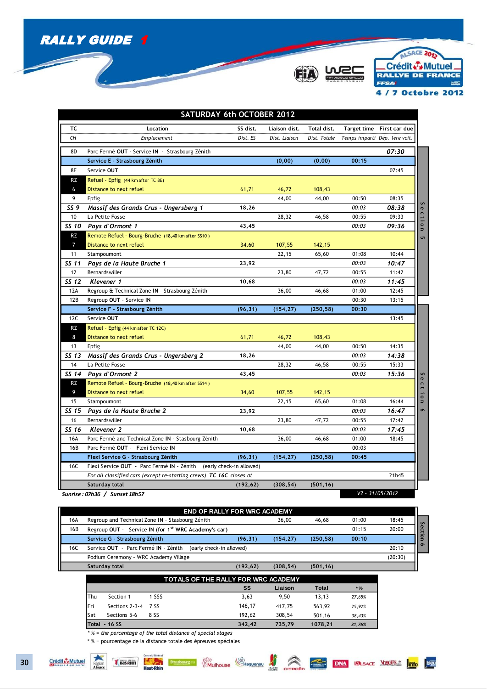

Þ



ALSACE 2013 Crédit & Mutuel. RALLYE DE FRANCE **FFSAI MRC** 4 / 7 Octobre 2012

|                | SATURDAY 6th OCTOBER 2012                                           |                          |               |              |                               |                           |                          |
|----------------|---------------------------------------------------------------------|--------------------------|---------------|--------------|-------------------------------|---------------------------|--------------------------|
| тс             | Location                                                            | SS dist.                 | Liaison dist. | Total dist.  |                               | Target time First car due |                          |
| CН             | <b>Emplacement</b>                                                  | Dist. ES                 | Dist. Liaison | Dist. Totale | Temps imparti Dép. 1ère voit. |                           |                          |
| 8D             | Parc Fermé OUT - Service IN - Strasbourg Zénith                     |                          |               |              |                               | 07:30                     |                          |
|                | Service E - Strasbourg Zénith                                       |                          | (0,00)        | (0,00)       | 00:15                         |                           |                          |
| 8E             | Service OUT                                                         |                          |               |              |                               | 07:45                     |                          |
| RZ             | Refuel - Epfig (44 km after TC 8E)                                  |                          |               |              |                               |                           |                          |
| 6              | Distance to next refuel                                             | 61,71                    | 46,72         | 108,43       |                               |                           |                          |
| 9              | Epfig                                                               |                          | 44,00         | 44,00        | 00:50                         | 08:35                     |                          |
| SS 9           | Massif des Grands Crus - Ungersberg 1                               | 18,26                    |               |              | 00:03                         | 08:38                     | S<br>$\sigma$            |
| 10             | La Petite Fosse                                                     |                          | 28,32         | 46,58        | 00:55                         | 09:33                     |                          |
| SS 10          | Pays d'Ormont 1                                                     | 43,45                    |               |              | 00:03                         | 09:36                     | ction                    |
| <b>RZ</b>      | Remote Refuel - Bourg-Bruche (18,40 km after SS10)                  |                          |               |              |                               |                           | ūΠ                       |
| $\overline{7}$ | Distance to next refuel                                             | 34,60                    | 107,55        | 142,15       |                               |                           |                          |
| 11             | Stampoumont                                                         |                          | 22,15         | 65,60        | 01:08                         | 10:44                     |                          |
| SS 11          | Pays de la Haute Bruche 1                                           | 23,92                    |               |              | 00:03                         | 10:47                     |                          |
| 12             | Bernardswiller                                                      |                          | 23,80         | 47,72        | 00:55                         | 11:42                     |                          |
| SS 12          | Klevener 1                                                          | 10,68                    |               |              | 00:03                         | 11:45                     |                          |
| 12A            | Regroup & Technical Zone IN - Strasbourg Zénith                     |                          | 36,00         | 46,68        | 01:00                         | 12:45                     |                          |
| 12B            | Regroup OUT - Service IN                                            |                          |               |              | 00:30                         | 13:15                     |                          |
|                |                                                                     |                          |               |              |                               |                           |                          |
|                | Service F - Strasbourg Zénith                                       | (96, 31)                 | (154, 27)     | (250, 58)    | 00:30                         |                           |                          |
| 12C            | Service OUT                                                         |                          |               |              |                               | 13:45                     |                          |
| RZ             | Refuel - Epfig (44 km after TC 12C)                                 |                          |               |              |                               |                           |                          |
| 8              | Distance to next refuel                                             | 61,71                    | 46,72         | 108,43       |                               |                           |                          |
| 13             | <b>Epfig</b>                                                        |                          | 44.00         | 44,00        | 00:50                         | 14:35                     |                          |
| SS 13          | Massif des Grands Crus - Ungersberg 2                               | 18,26                    |               |              | 00:03                         | 14:38                     |                          |
| 14             | La Petite Fosse                                                     |                          | 28,32         | 46,58        | 00:55                         | 15:33                     |                          |
| SS 14          | Pays d'Ormont 2                                                     | 43,45                    |               |              | 00:03                         | 15:36                     |                          |
| <b>RZ</b>      | Remote Refuel - Bourg-Bruche (18,40 km after SS14)                  |                          |               |              |                               |                           |                          |
| 9              | Distance to next refuel                                             | 34,60                    | 107,55        | 142,15       |                               |                           |                          |
| 15             | Stampoumont                                                         |                          | 22,15         | 65,60        | 01:08                         | 16:44                     | Sectio<br>$\overline{ }$ |
| SS 15          | Pays de la Haute Bruche 2                                           | 23,92                    |               |              | 00:03                         | 16:47                     | $\bullet$                |
| 16             | Bernardswiller                                                      |                          | 23,80         | 47,72        | 00:55                         | 17:42                     |                          |
| SS 16          | Klevener 2                                                          | 10,68                    |               |              | 00:03                         | 17:45                     |                          |
| 16A            | Parc Fermé and Technical Zone IN - Stasbourg Zénith                 |                          | 36,00         | 46,68        | 01:00                         | 18:45                     |                          |
| 16B            | Parc Fermé OUT - Flexi Service IN                                   |                          |               |              | 00:03                         |                           |                          |
|                | Flexi Service G - Strasbourg Zénith                                 | (96, 31)                 | (154, 27)     | (250, 58)    | 00:45                         |                           |                          |
| 16C            | Flexi Service OUT - Parc Fermé IN - Zénith                          | (early check-in allowed) |               |              |                               |                           |                          |
|                | For all classified cars (except re-starting crews) TC 16C closes at |                          |               |              |                               | 21h45                     |                          |
|                | Saturday total<br>Sunrise : 07h36 / Sunset 18h57                    | (192, 62)                | (308, 54)     | (501, 16)    |                               | V2 - 31/05/2012           |                          |

|     | <b>END OF RALLY FOR WRC ACADEMY</b>                              |           |           |           |       |                  |
|-----|------------------------------------------------------------------|-----------|-----------|-----------|-------|------------------|
| 16A | Regroup and Technical Zone IN - Stasbourg Zénith                 |           | 36,00     | 46.68     | 01:00 | 18:45            |
| 16B | Regroup OUT - Service IN (for 1 <sup>st</sup> WRC Academy's car) |           |           |           | 01:15 | Sec<br>20:00     |
|     | Service G - Strasbourg Zénith                                    | (96, 31)  | (154.27)  | (250, 58) | 00:10 | Eion             |
| 16C | Service OUT - Parc Fermé IN - Zénith<br>(early check-in allowed) |           |           |           |       | $\circ$<br>20:10 |
|     | Podium Ceremony - WRC Academy Village                            |           |           |           |       | (20:30)          |
|     | Saturday total                                                   | (192, 62) | (308, 54) | (501, 16) |       |                  |

|             |                | TOTALS OF THE RALLY FOR WRC ACADEMY |        |         |              |        |
|-------------|----------------|-------------------------------------|--------|---------|--------------|--------|
|             |                |                                     | SS     | Liaison | <b>Total</b> | $*$ %  |
| Thu         | Section 1      | 1 SSS                               | 3.63   | 9.50    | 13.13        | 27,65% |
| <b>IFri</b> | Sections 2-3-4 | 7 SS                                | 146.17 | 417.75  | 563.92       | 25.92% |
| Sat         | Sections 5-6   | 8 SS                                | 192.62 | 308.54  | 501.16       | 38,43% |
|             | Total - 16 SS  |                                     | 342.42 | 735,79  | 1078,21      | 31,76% |

*\* % = the percentage of the total distance of special stages*

\* % = pourcentage de la distance totale des épreuves spéciales

**T**Bas RHIN

Crédit Mutuel

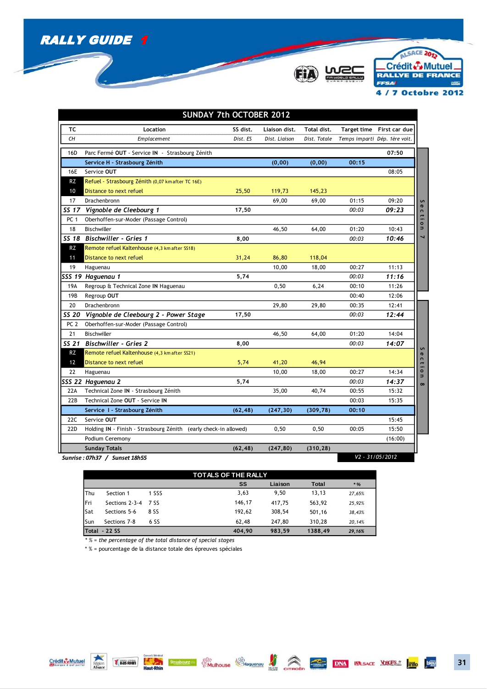



ALSACE 2013 Crédit & Mutuel. RALLYE DE FRANCE 4 / 7 Octobre 2012

|                 |                                                                  | <b>SUNDAY 7th OCTOBER 2012</b> |               |              |                    |                               |          |
|-----------------|------------------------------------------------------------------|--------------------------------|---------------|--------------|--------------------|-------------------------------|----------|
| ТC              | Location                                                         | SS dist.                       | Liaison dist. | Total dist.  | <b>Target time</b> | First car due                 |          |
| CН              | <b>Emplacement</b>                                               | Dist. ES                       | Dist. Liaison | Dist. Totale |                    | Temps imparti Dép. 1ère voit. |          |
| 16D             | Parc Fermé OUT - Service IN - Strasbourg Zénith                  |                                |               |              |                    | 07:50                         |          |
|                 | Service H - Strasbourg Zénith                                    |                                | (0,00)        | (0,00)       | 00:15              |                               |          |
| 16E             | Service OUT                                                      |                                |               |              |                    | 08:05                         |          |
| RZ              | Refuel - Strasbourg Zénith (0,07 km after TC 16E)                |                                |               |              |                    |                               |          |
| 10              | Distance to next refuel                                          | 25,50                          | 119,73        | 145,23       |                    |                               |          |
| 17              | Drachenbronn                                                     |                                | 69,00         | 69,00        | 01:15              | 09:20                         | S        |
| SS 17           | Vignoble de Cleebourg 1                                          | 17,50                          |               |              | 00:03              | 09:23                         | n,       |
| PC <sub>1</sub> | Oberhoffen-sur-Moder (Passage Control)                           |                                |               |              |                    |                               | ction    |
| 18              | Bischwiller                                                      |                                | 46,50         | 64,00        | 01:20              | 10:43                         |          |
|                 | SS 18 Bischwiller - Gries 1                                      | 8,00                           |               |              | 00:03              | 10:46                         |          |
| <b>RZ</b>       | Remote refuel Kaltenhouse (4,3 km after SS18)                    |                                |               |              |                    |                               |          |
| 11              | Distance to next refuel                                          | 31,24                          | 86,80         | 118,04       |                    |                               |          |
| 19              | Haguenau                                                         |                                | 10,00         | 18,00        | 00:27              | 11:13                         |          |
|                 | SSS 19 Haguenau 1                                                | 5,74                           |               |              | 00:03              | 11:16                         |          |
| 19A             | Regroup & Technical Zone IN Haguenau                             |                                | 0,50          | 6,24         | 00:10              | 11:26                         |          |
| 19B             | Regroup OUT                                                      |                                |               |              | 00:40              | 12:06                         |          |
| 20              | Drachenbronn                                                     |                                | 29,80         | 29,80        | 00:35              | 12:41                         |          |
| SS 20           | Vignoble de Cleebourg 2 - Power Stage                            | 17,50                          |               |              | 00:03              | 12:44                         |          |
| PC <sub>2</sub> | Oberhoffen-sur-Moder (Passage Control)                           |                                |               |              |                    |                               |          |
| 21              | Bischwiller                                                      |                                | 46,50         | 64,00        | 01:20              | 14:04                         |          |
| SS 21           | <b>Bischwiller - Gries 2</b>                                     | 8,00                           |               |              | 00:03              | 14:07                         |          |
| RZ              | Remote refuel Kaltenhouse (4,3 km after SS21)                    |                                |               |              |                    |                               |          |
| 12              | Distance to next refuel                                          | 5,74                           | 41,20         | 46,94        |                    |                               |          |
| 22              | Haguenau                                                         |                                | 10,00         | 18,00        | 00:27              | 14:34                         | Section  |
|                 | SSS 22 Haguenau 2                                                | 5,74                           |               |              | 00:03              | 14:37                         | $\infty$ |
| 22A             | Technical Zone IN - Strasbourg Zénith                            |                                | 35,00         | 40,74        | 00:55              | 15:32                         |          |
| 22B             | Technical Zone OUT - Service IN                                  |                                |               |              | 00:03              | 15:35                         |          |
|                 | Service I - Strasbourg Zénith                                    | (62, 48)                       | (247, 30)     | (309, 78)    | 00:10              |                               |          |
| 22C             | Service OUT                                                      |                                |               |              |                    | 15:45                         |          |
| 22D             | Holding IN - Finish - Strasbourg Zénith (early check-in allowed) |                                | 0,50          | 0,50         | 00:05              | 15:50                         |          |
|                 | Podium Ceremony                                                  |                                |               |              |                    | (16:00)                       |          |
|                 | <b>Sunday Totals</b>                                             | (62, 48)                       | (247, 80)     | (310, 28)    |                    |                               |          |
|                 | Sunrise: 07h37 / Sunset 18h55                                    |                                |               |              |                    | V2 - 31/05/2012               |          |

| <b>TOTALS OF THE RALLY</b> |                      |       |  |        |         |         |        |
|----------------------------|----------------------|-------|--|--------|---------|---------|--------|
|                            |                      |       |  | SS     | Liaison | Total   | $*$ %  |
| Thu                        | Section 1            | 1 SSS |  | 3,63   | 9.50    | 13,13   | 27,65% |
| lFri                       | Sections 2-3-4       | 7 SS  |  | 146,17 | 417.75  | 563.92  | 25,92% |
| Sat                        | Sections 5-6         | 8 SS  |  | 192.62 | 308,54  | 501,16  | 38,43% |
| Sun                        | Sections 7-8         | 6 SS  |  | 62.48  | 247,80  | 310.28  | 20,14% |
|                            | <b>Total - 22 SS</b> |       |  | 404.90 | 983.59  | 1388.49 | 29,16% |

*\* % = the percentage of the total distance of special stages*

\* % = pourcentage de la distance totale des épreuves spéciales

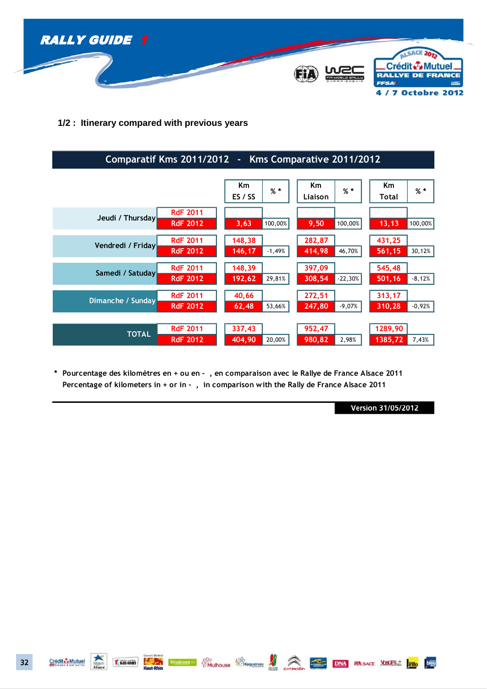

**1/2 : Itinerary compared with previous years**

| Comparatif Kms 2011/2012<br>Kms Comparative 2011/2012<br>$\blacksquare$ |                                    |                              |                               |                               |  |
|-------------------------------------------------------------------------|------------------------------------|------------------------------|-------------------------------|-------------------------------|--|
|                                                                         |                                    | Km<br>$%$ *<br>ES / SS       | <b>Km</b><br>$%$ *<br>Liaison | Km<br>$%$ *<br>Total          |  |
| Jeudi / Thursday                                                        | <b>RdF 2011</b><br><b>RdF 2012</b> | 100,00%<br>3,63              | 9,50<br>100,00%               | 100,00%<br>13, 13             |  |
| Vendredi / Friday                                                       | <b>RdF 2011</b><br><b>RdF 2012</b> | 148,38<br>146,17<br>$-1,49%$ | 282,87<br>414,98<br>46,70%    | 431,25<br>561,15<br>30,12%    |  |
| Samedi / Satuday                                                        | <b>RdF 2011</b><br><b>RdF 2012</b> | 148,39<br>29,81%<br>192,62   | 397,09<br>308,54<br>$-22,30%$ | 545,48<br>$-8,12%$<br>501, 16 |  |
| Dimanche / Sunday                                                       | <b>RdF 2011</b><br><b>RdF 2012</b> | 40,66<br>53,66%<br>62,48     | 272,51<br>$-9,07%$<br>247,80  | 313,17<br>$-0,92%$<br>310,28  |  |
| <b>TOTAL</b>                                                            | <b>RdF 2011</b><br><b>RdF 2012</b> | 337,43<br>20,00%<br>404,90   | 952,47<br>980,82<br>2,98%     | 1289,90<br>1385,72<br>7,43%   |  |

**\* Pourcentage des kilomètres en + ou en - , en comparaison avec le Rallye de France Alsace 2010 Pourcentage des kilomètres en + ou en - , en comparaison avec le Rallye de France Alsace 2011 Percentage of kilometers in + or in - , in comparison with the Rally de France Alsace 2011**

**Version 31/05/2012** 

**Examples of Changes Changes Changes and Contract DNA INLISACE YOSCES 2** The DIED



*VBas RHIN*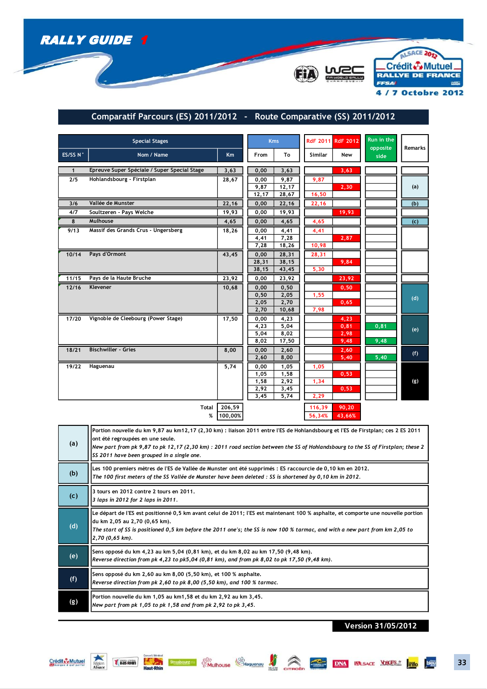





## **Comparatif Parcours (ES) 2011/2012 - Route Comparative (SS) 2011/2012**

| <b>Special Stages</b> |                                              |              |               | <b>Kms</b>     |                | RdF 2011 RdF 2012 | Run in the<br>opposite | <b>Remarks</b> |
|-----------------------|----------------------------------------------|--------------|---------------|----------------|----------------|-------------------|------------------------|----------------|
| ES/SS N°              | Nom / Name                                   | <b>Km</b>    | From          | To             | <b>Similar</b> | New               | side                   |                |
| $\mathbf{1}$          | Epreuve Super Spéciale / Super Special Stage | 3,63         | 0,00          | 3,63           |                | 3,63              |                        |                |
| 2/5                   | Hohlandsbourg - Firstplan                    | 28,67        | 0,00          | 9,87           | 9,87           |                   |                        |                |
|                       |                                              |              | 9,87<br>12,17 | 12,17<br>28,67 | 16,50          | 2,30              |                        | (a)            |
| 3/6                   | Vallée de Munster                            | 22,16        | 0,00          | 22,16          | 22,16          |                   |                        | (b)            |
| 4/7                   | Soultzeren - Pays Welche                     | 19,93        | 0,00          | 19,93          |                | 19,93             |                        |                |
| 8                     | Mulhouse                                     | 4,65         | 0,00          | 4,65           | 4,65           |                   |                        | (c)            |
| 9/13                  | Massif des Grands Crus - Ungersberg          | 18,26        | 0,00          | 4,41           | 4,41           |                   |                        |                |
|                       |                                              |              | 4,41<br>7,28  | 7,28<br>18,26  | 10,98          | 2,87              |                        |                |
| 10/14                 | Pays d'Ormont                                | 43,45        | 0,00          | 28,31          | 28,31          |                   |                        |                |
|                       |                                              |              | 28,31         | 38,15          |                | 9,84              |                        |                |
|                       |                                              |              | 38,15         | 43,45          | 5,30           |                   |                        |                |
| 11/15                 | Pays de la Haute Bruche                      | 23,92        | 0,00          | 23,92          |                | 23,92             |                        |                |
| 12/16                 | Klevener                                     | 10,68        | 0,00          | 0,50           |                | 0,50              |                        |                |
|                       |                                              |              | 0,50<br>2,05  | 2,05<br>2,70   | 1,55           | 0,65              |                        | (d)            |
|                       |                                              |              | 2,70          | 10,68          | 7,98           |                   |                        |                |
| 17/20                 | Vignoble de Cleebourg (Power Stage)          | 17,50        | 0,00          | 4,23           |                | 4,23              |                        |                |
|                       |                                              |              | 4,23          | 5,04           |                | 0, 81             | 0, 81                  | (e)            |
|                       |                                              |              | 5,04<br>8,02  | 8,02<br>17,50  |                | 2,98<br>9,48      | 9,48                   |                |
| 18/21                 | <b>Bischwiller - Gries</b>                   | 8,00         | 0,00          | 2,60           |                | 2,60              |                        |                |
|                       |                                              |              | 2,60          | 8,00           |                | 5,40              | 5,40                   | (f)            |
| 19/22                 | Haguenau                                     | 5,74         | 0,00          | 1,05           | 1,05           |                   |                        |                |
|                       |                                              |              | 1,05          | 1,58           |                | 0,53              |                        |                |
|                       |                                              |              | 1,58<br>2,92  | 2,92<br>3,45   | 1,34           | 0,53              |                        | (g)            |
|                       |                                              |              | 3,45          | 5,74           | 2,29           |                   |                        |                |
|                       | <b>Total</b>                                 | 206,59       |               |                | 116,39         | 90,20             |                        |                |
|                       |                                              | %<br>100,00% |               |                | 56,34%         | 43,66%            |                        |                |

| (a) | Portion nouvelle du km 9,87 au km12,17 (2,30 km) : liaison 2011 entre l'ES de Hohlandsbourg et l'ES de Firstplan; ces 2 ES 2011<br>ont été regroupées en une seule.<br>New part from pk 9,87 to pk 12,17 (2,30 km): 2011 road section between the SS of Hohlandsbourg to the SS of Firstplan; these 2<br>SS 2011 have been grouped in a single one. |
|-----|-----------------------------------------------------------------------------------------------------------------------------------------------------------------------------------------------------------------------------------------------------------------------------------------------------------------------------------------------------|
| (b) | Les 100 premiers mètres de l'ES de Vallée de Munster ont été supprimés : ES raccourcie de 0,10 km en 2012.<br>The 100 first meters of the SS Vallée de Munster have been deleted : SS is shortened by 0,10 km in 2012.                                                                                                                              |
| (c) | 3 tours en 2012 contre 2 tours en 2011.<br>3 laps in 2012 for 2 laps in 2011.                                                                                                                                                                                                                                                                       |
| (d) | Le départ de l'ES est positionné 0,5 km avant celui de 2011; l'ES est maintenant 100 % asphalte, et comporte une nouvelle portion<br>du km 2,05 au 2,70 (0,65 km).<br>The start of SS is positioned 0,5 km before the 2011 one's; the SS is now 100 % tarmac, and with a new part from km 2,05 to<br>2,70 (0,65 km).                                |
| (e) | Sens opposé du km 4,23 au km 5,04 (0,81 km), et du km 8,02 au km 17,50 (9,48 km).<br>Reverse direction from pk 4,23 to pk5,04 (0,81 km), and from pk 8,02 to pk 17,50 (9,48 km).                                                                                                                                                                    |
| (f) | Sens opposé du km 2,60 au km 8,00 (5,50 km), et 100 % asphalte.<br>Reverse direction from pk 2,60 to pk 8,00 (5,50 km), and 100 % tarmac.                                                                                                                                                                                                           |
| (g) | Portion nouvelle du km 1,05 au km1,58 et du km 2,92 au km 3,45.<br>New part from pk 1,05 to pk 1,58 and from pk 2,92 to pk 3,45.                                                                                                                                                                                                                    |

Negon (Baselin) Haut-Rhin Strusbourges (Childhouse Chaguenau Man Correcte DNA VALSACE VOCES 7 Info DEL

**Version 31/05/2012**